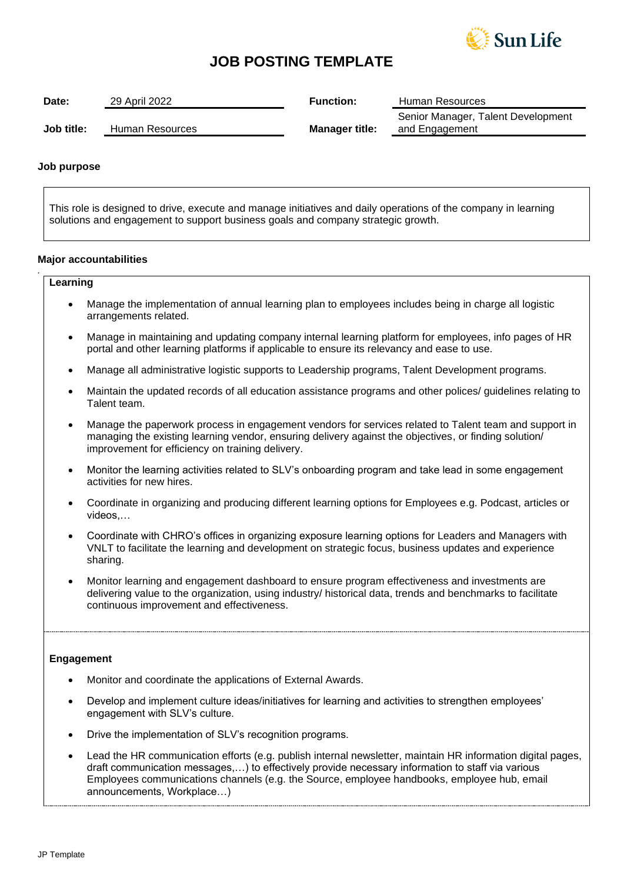

## **JOB POSTING TEMPLATE**

| Date:      | 29 April 2022   | <b>Function:</b>      | Human Resources                                      |
|------------|-----------------|-----------------------|------------------------------------------------------|
| Job title: | Human Resources | <b>Manager title:</b> | Senior Manager, Talent Development<br>and Engagement |

## **Job purpose**

This role is designed to drive, execute and manage initiatives and daily operations of the company in learning solutions and engagement to support business goals and company strategic growth.

#### **Major accountabilities**

## **Learning**

*.*

- Manage the implementation of annual learning plan to employees includes being in charge all logistic arrangements related.
- Manage in maintaining and updating company internal learning platform for employees, info pages of HR portal and other learning platforms if applicable to ensure its relevancy and ease to use.
- Manage all administrative logistic supports to Leadership programs, Talent Development programs.
- Maintain the updated records of all education assistance programs and other polices/ guidelines relating to Talent team.
- Manage the paperwork process in engagement vendors for services related to Talent team and support in managing the existing learning vendor, ensuring delivery against the objectives, or finding solution/ improvement for efficiency on training delivery.
- Monitor the learning activities related to SLV's onboarding program and take lead in some engagement activities for new hires.
- Coordinate in organizing and producing different learning options for Employees e.g. Podcast, articles or videos,…
- Coordinate with CHRO's offices in organizing exposure learning options for Leaders and Managers with VNLT to facilitate the learning and development on strategic focus, business updates and experience sharing.
- Monitor learning and engagement dashboard to ensure program effectiveness and investments are delivering value to the organization, using industry/ historical data, trends and benchmarks to facilitate continuous improvement and effectiveness.

#### **Engagement**

- Monitor and coordinate the applications of External Awards.
- Develop and implement culture ideas/initiatives for learning and activities to strengthen employees' engagement with SLV's culture.
- Drive the implementation of SLV's recognition programs.
- Lead the HR communication efforts (e.g. publish internal newsletter, maintain HR information digital pages, draft communication messages,…) to effectively provide necessary information to staff via various Employees communications channels (e.g. the Source, employee handbooks, employee hub, email announcements, Workplace…)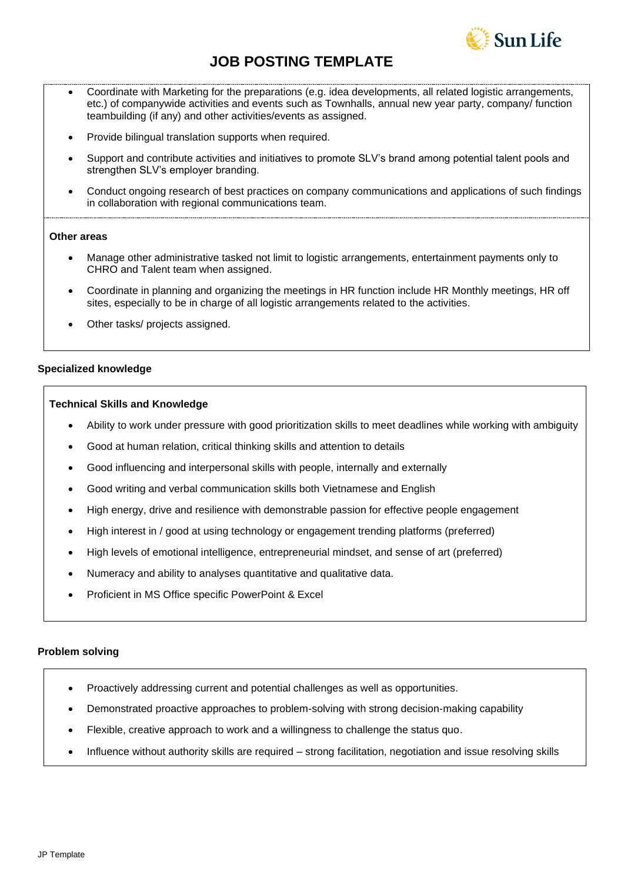

# **JOB POSTING TEMPLATE**

- Coordinate with Marketing for the preparations (e.g. idea developments, all related logistic arrangements, etc.) of companywide activities and events such as Townhalls, annual new year party, company/ function teambuilding (if any) and other activities/events as assigned.
- Provide bilingual translation supports when required.
- Support and contribute activities and initiatives to promote SLV's brand among potential talent pools and strengthen SLV's employer branding.
- Conduct ongoing research of best practices on company communications and applications of such findings in collaboration with regional communications team.

## **Other areas**

- Manage other administrative tasked not limit to logistic arrangements, entertainment payments only to CHRO and Talent team when assigned.
- Coordinate in planning and organizing the meetings in HR function include HR Monthly meetings, HR off sites, especially to be in charge of all logistic arrangements related to the activities.
- Other tasks/ projects assigned.

## **Specialized knowledge**

#### **Technical Skills and Knowledge**

- Ability to work under pressure with good prioritization skills to meet deadlines while working with ambiguity
- Good at human relation, critical thinking skills and attention to details
- Good influencing and interpersonal skills with people, internally and externally
- Good writing and verbal communication skills both Vietnamese and English
- High energy, drive and resilience with demonstrable passion for effective people engagement
- High interest in / good at using technology or engagement trending platforms (preferred)
- High levels of emotional intelligence, entrepreneurial mindset, and sense of art (preferred)
- Numeracy and ability to analyses quantitative and qualitative data.
- Proficient in MS Office specific PowerPoint & Excel

## **Problem solving**

- Proactively addressing current and potential challenges as well as opportunities.
- Demonstrated proactive approaches to problem-solving with strong decision-making capability
- Flexible, creative approach to work and a willingness to challenge the status quo.
- Influence without authority skills are required strong facilitation, negotiation and issue resolving skills